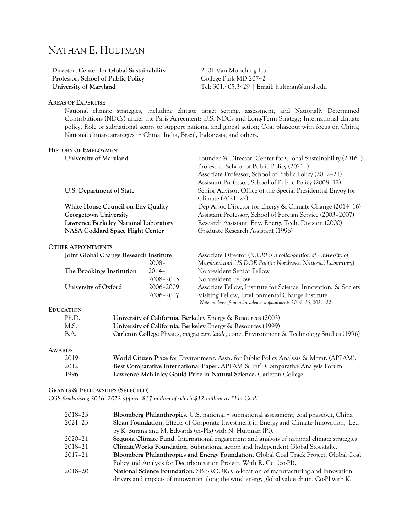# NATHAN E. HULTMAN

**Director, Center for Global Sustainability Professor, School of Public Policy University of Maryland**

2101 Van Munching Hall College Park MD 20742 Tel: 301.405.3429 | Email: hultman@umd.edu

#### **AREAS OF EXPERTISE**

National climate strategies, including climate target setting, assessment, and Nationally Determined Contributions (NDCs) under the Paris Agreement; U.S. NDCs and Long-Term Strategy; International climate policy; Role of subnational actors to support national and global action; Coal phaseout with focus on China; National climate strategies in China, India, Brazil, Indonesia, and others.

| University of Maryland                 |           | Founder & Director, Center for Global Sustainability (2016-)   |
|----------------------------------------|-----------|----------------------------------------------------------------|
|                                        |           | Professor, School of Public Policy (2021–)                     |
|                                        |           | Associate Professor, School of Public Policy (2012–21)         |
|                                        |           | Assistant Professor, School of Public Policy (2008–12)         |
| U.S. Department of State               |           | Senior Advisor, Office of the Special Presidential Envoy for   |
|                                        |           | Climate (2021–22)                                              |
| White House Council on Env Quality     |           | Dep Assoc Director for Energy & Climate Change (2014–16)       |
| Georgetown University                  |           | Assistant Professor, School of Foreign Service (2003–2007)     |
| Lawrence Berkeley National Laboratory  |           | Research Assistant, Env. Energy Tech. Division (2000)          |
| NASA Goddard Space Flight Center       |           | Graduate Research Assistant (1996)                             |
| <b>OTHER APPOINTMENTS</b>              |           |                                                                |
| Joint Global Change Research Institute |           | Associate Director (JGCRI is a collaboration of University of  |
|                                        | $2008 -$  | Maryland and US DOE Pacific Northwest National Laboratory)     |
| The Brookings Institution              | $2014-$   | Nonresident Senior Fellow                                      |
|                                        | 2008-2013 | Nonresident Fellow                                             |
| University of Oxford                   | 2006-2009 | Associate Fellow, Institute for Science, Innovation, & Society |
|                                        | 2006-2007 | Visiting Fellow, Environmental Change Institute                |
| Entication                             |           | Note: on leave from all academic appointments 2014-16, 2021-22 |

#### **EDUCATION**

| Ph.D. | University of California, Berkeley Energy & Resources (2003)                                    |
|-------|-------------------------------------------------------------------------------------------------|
| M.S.  | University of California, Berkeley Energy & Resources (1999)                                    |
| B.A.  | <b>Carleton College</b> Physics, magna cum laude, conc. Environment & Technology Studies (1996) |

#### **AWARDS**

| 2019  | World Citizen Prize for Environment. Assn. for Public Policy Analysis & Mgmt. (APPAM). |
|-------|----------------------------------------------------------------------------------------|
| 2012. | Best Comparative International Paper. APPAM & Int'l Comparative Analysis Forum         |
| 1996  | Lawrence McKinley Gould Prize in Natural Science. Carleton College                     |

## **GRANTS & FELLOWSHIPS (SELECTED)**

*CGS fundraising 2016–2022 approx. \$17 million of which \$12 million as PI or Co-PI*

| 2018–23 | Bloomberg Philanthropies. U.S. national + subnational assessment, coal phaseout, China     |
|---------|--------------------------------------------------------------------------------------------|
| 2021-23 | Sloan Foundation. Effects of Corporate Investment in Energy and Climate Innovation, Led    |
|         | by K. Surana and M. Edwards (co-PIs) with N. Hultman (PI).                                 |
| 2020–21 | Sequoia Climate Fund. International engagement and analysis of national climate strategies |
| 2018–21 | ClimateWorks Foundation. Subnational action and Independent Global Stocktake.              |
| 2017–21 | Bloomberg Philanthropies and Energy Foundation. Global Coal Track Project; Global Coal     |
|         | Policy and Analysis for Decarbonization Project. With R. Cui (co-PI).                      |
| 2018–20 | <b>National Science Foundation.</b> SBE-RCUK: Co-location of manufacturing and innovation: |
|         | drivers and impacts of innovation along the wind energy global value chain. Co-PI with K.  |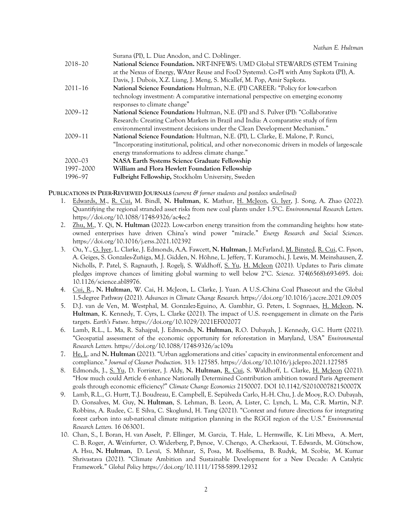| Surana (PI), L. Diaz Anodon, and C. Doblinger.                                                   |
|--------------------------------------------------------------------------------------------------|
| National Science Foundation. NRT-INFEWS: UMD Global STEWARDS (STEM Training                      |
| at the Nexus of Energy, WAter Reuse and FooD Systems). Co-PI with Amy Sapkota (PI), A.           |
| Davis, J. Dubois, X.Z. Liang, J. Meng, S. Micallef, M. Pop, Amir Sapkota.                        |
| National Science Foundation: Hultman, N.E. (PI) CAREER: "Policy for low-carbon                   |
| technology investment: A comparative international perspective on emerging economy               |
| responses to climate change"                                                                     |
| National Science Foundation: Hultman, N.E. (PI) and S. Pulver (PI): "Collaborative               |
| Research: Creating Carbon Markets in Brazil and India: A comparative study of firm               |
| environmental investment decisions under the Clean Development Mechanism."                       |
| National Science Foundation: Hultman, N.E. (PI), L. Clarke, E. Malone, P. Runci,                 |
| "Incorporating institutional, political, and other non-economic drivers in models of large-scale |
| energy transformations to address climate change."                                               |
| <b>NASA Earth Systems Science Graduate Fellowship</b>                                            |
| William and Flora Hewlett Foundation Fellowship                                                  |
| <b>Fulbright Fellowship, Stockholm University, Sweden</b>                                        |
|                                                                                                  |

**PUBLICATIONS IN PEER-REVIEWED JOURNALS** *(current & former students and postdocs underlined)*

- 1. Edwards, M., R. Cui, M. Bindl, **N. Hultman**, K. Mathur, H. McJeon, G. Iyer, J. Song, A. Zhao (2022). Quantifying the regional stranded asset risks from new coal plants under 1.5°C. *Environmental Research Letters*. https://doi.org/10.1088/1748-9326/ac4ec2
- 2. Zhu, M., Y. Qi, **N. Hultman** (2022). Low-carbon energy transition from the commanding heights: how stateowned enterprises have driven China's wind power "miracle." *Energy Research and Social Sciences*. https://doi.org/10.1016/j.erss.2021.102392
- 3. Ou, Y., G. Iyer, L. Clarke, J. Edmonds, A.A. Fawcett, **N. Hultman**, J. McFarland, M. Binsted, R. Cui, C. Fyson, A. Geiges, S. Gonzales-Zuñiga, M.J. Gidden, N. Höhne, L. Jeffery, T. Kuramochi, J. Lewis, M. Meinshausen, Z. Nicholls, P. Patel, S. Ragnauth, J. Rogelj, S. Waldhoff, S. Yu, H. McJeon (2021). Updates to Paris climate pledges improve chances of limiting global warming to well below 2°C. *Science*. 374(6568):693-695. doi: 10.1126/science.abl8976.
- 4. Cui, R., **N. Hultman**, W. Cai, H. McJeon, L. Clarke, J. Yuan. A U.S.-China Coal Phaseout and the Global 1.5-degree Pathway (2021). *Advances in Climate Change Research.* https://doi.org/10.1016/j.accre.2021.09.005
- 5. D.J. van de Ven, M. Westphal, M. Gonzalez-Eguino, A. Gambhir, G. Peters, I. Sognnaes, H. McJeon, **N. Hultman**, K. Kennedy, T. Cyrs, L. Clarke (2021). The impact of U.S. re-engagement in climate on the Paris targets. *Earth's Future*. https://doi.org/10.1029/2021EF002077
- 6. Lamb, R.L., L. Ma, R. Sahajpal, J. Edmonds, **N. Hultman**, R.O. Dubayah, J. Kennedy, G.C. Hurtt (2021). "Geospatial assessment of the economic opportunity for reforestation in Maryland, USA" *Environmental Research Letters.* https://doi.org/10.1088/1748-9326/ac109a
- 7. He, L. and **N. Hultman** (2021). "Urban agglomerations and cities' capacity in environmental enforcement and compliance." *Journal of Cleaner Production*. 313: 127585. https://doi.org/10.1016/j.jclepro.2021.127585
- 8. Edmonds, J., S. Yu, D. Forrister, J. Aldy, **N. Hultman**, R. Cui, S. Waldhoff, L. Clarke, H. McJeon (2021). "How much could Article 6 enhance Nationally Determined Contribution ambition toward Paris Agreement goals through economic efficiency?" *Climate Change Economics* 2150007. DOI 10.1142/S201000782150007X
- 9. Lamb, R.L., G. Hurtt, T.J. Boudreau, E. Campbell, E. Sepúlveda Carlo, H.-H. Chu, J. de Mooy, R.O. Dubayah, D. Gonsalves, M. Guy, **N. Hultman**, S. Lehman, B. Leon, A. Lister, C. Lynch, L. Ma, C.R. Martin, N.P. Robbins, A. Rudee, C. E Silva, C. Skoglund, H. Tang (2021). "Context and future directions for integrating forest carbon into sub-national climate mitigation planning in the RGGI region of the U.S." *Environmental Research Letters.* 16 063001.
- 10. Chan, S., I. Boran, H. van Asselt, P. Ellinger, M. Garcia, T. Hale, L. Hermwille, K. Liti Mbeva, A. Mert, C. B. Roger, A. Weinfurter, O. Widerberg, P, Bynoe, V. Chengo, A. Cherkaoui, T. Edwards, M. Gütschow, A. Hsu, **N. Hultman**, D. Levaï, S. Mihnar, S, Posa, M. Roelfsema, B. Rudyk, M. Scobie, M. Kumar Shrivastava (2021). "Climate Ambition and Sustainable Development for a New Decade: A Catalytic Framework." *Global Policy* https://doi.org/10.1111/1758-5899.12932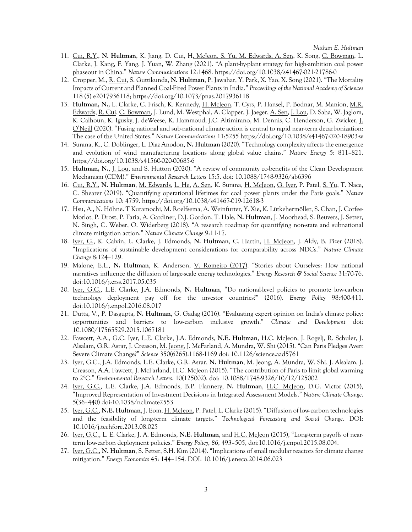- 11. Cui, R.Y., **N. Hultman**, K. Jiang, D. Cui, H. McJeon, S. Yu, M. Edwards, A. Sen, K. Song, C. Bowman, L. Clarke, J. Kang, F. Yang, J. Yuan, W. Zhang (2021). "A plant-by-plant strategy for high-ambition coal power phaseout in China." *Nature Communications* 12:1468. https://doi.org/10.1038/s41467-021-21786-0
- 12. Cropper, M., R. Cui, S. Guttikunda, **N. Hultman**, P. Jawahar, Y. Park, X. Yao, X. Song (2021). "The Mortality Impacts of Current and Planned Coal-Fired Power Plants in India." *Proceedings of the National Academy of Sciences* 118 (5) e2017936118; https://doi.org/10.1073/pnas.2017936118
- 13. **Hultman, N.,** L. Clarke, C. Frisch, K. Kennedy, H. McJeon, T. Cyrs, P. Hansel, P. Bodnar, M. Manion, M.R. Edwards, R. Cui, C. Bowman, J. Lund, M. Westphal, A. Clapper, J. Jaeger, A. Sen, J. Lou, D. Saha, W. Jaglom, K. Calhoun, K. Igusky, J. deWeese, K. Hammoud, J.C. Altimirano, M. Dennis, C. Henderson, G. Zwicker, J. O'Neill (2020). "Fusing national and sub-national climate action is central to rapid near-term decarbonization: The case of the United States." *Nature Communications* 11:5255 https://doi.org/10.1038/s41467-020-18903-w
- 14. Surana, K., C. Doblinger, L. Diaz Anodon, **N. Hultman** (2020). "Technology complexity affects the emergence and evolution of wind manufacturing locations along global value chains." *Nature Energy* 5: 811–821. https://doi.org/10.1038/s41560-020-00685-6
- 15. **Hultman, N.**, J. Lou, and S. Hutton (2020). "A review of community co-benefits of the Clean Development Mechanism (CDM)." *Environmental Research Letters* 15:5. doi: 10.1088/1748-9326/ab6396
- 16. Cui, R.Y., **N. Hultman**, M. Edwards, L. He, A. Sen, K. Surana, H. McJeon, G. Iyer, P. Patel, S. Yu, T. Nace, C. Shearer (2019). "Quantifying operational lifetimes for coal power plants under the Paris goals." *Nature Communications* 10: 4759. https://doi.org/10.1038/s41467-019-12618-3
- 17. Hsu, A., N. Höhne. T Kuramochi, M. Roelfsema, A. Weinfurter, Y. Xie, K. Lütkehermöller, S. Chan, J. Corfee-Morlot, P. Drost, P. Faria, A. Gardiner, D.J. Gordon, T. Hale, **N. Hultman**, J. Moorhead, S. Reuvers, J. Setzer, N. Singh, C. Weber, O. Widerberg (2018). "A research roadmap for quantifying non-state and subnational climate mitigation action." *Nature Climate Change* 9:11-17.
- 18. Iyer, G., K. Calvin, L. Clarke, J. Edmonds, **N. Hultman**, C. Hartin, H. McJeon, J. Aldy, B. Pizer (2018). "Implications of sustainable development considerations for comparability across NDCs." *Nature Climate Change* 8:124–129.
- 19. Malone, E.L., **N. Hultman**, K. Anderson, V. Romeiro (2017). "Stories about Ourselves: How national narratives influence the diffusion of large-scale energy technologies." *Energy Research & Social Science* 31:70-76. doi:10.1016/j.erss.2017.05.035
- 20. Iyer, G.C., L.E. Clarke, J.A. Edmonds, **N. Hultman**, "Do national-level policies to promote low-carbon technology deployment pay off for the investor countries?" (2016). *Energy Policy* 98:400-411. doi:10.1016/j.enpol.2016.08.017
- 21. Dutta, V., P. Dasgupta, **N. Hultman**, G. Gadag (2016). "Evaluating expert opinion on India's climate policy: opportunities and barriers to low-carbon inclusive growth." *Climate and Development* doi: 10.1080/17565529.2015.1067181
- 22. Fawcett, A.A., G.C. Iyer, L.E. Clarke, J.A. Edmonds, **N.E. Hultman**, H.C. McJeon, J. Rogelj, R. Schuler, J. Alsalam, G.R. Asrar, J. Creason, M. Jeong, J. McFarland, A. Mundra, W. Shi (2015). "Can Paris Pledges Avert Severe Climate Change?" *Science* 350(6265):1168-1169 doi: 10.1126/science.aad5761
- 23. Iyer, G.C., J.A. Edmonds, L.E. Clarke, G.R. Asrar, **N. Hultman**, M. Jeong, A. Mundra, W. Shi, J. Alsalam, J. Creason, A.A. Fawcett, J. McFarland, H.C. McJeon (2015). "The contribution of Paris to limit global warming to 2°C." *Environmental Research Letters.* 10(125002). doi: 10.1088/1748-9326/10/12/125002
- 24. Iyer, G.C., L.E. Clarke, J.A. Edmonds, B.P. Flannery, **N. Hultman**, H.C. McJeon, D.G. Victor (2015), "Improved Representation of Investment Decisions in Integrated Assessment Models." *Nature Climate Change*. 5(36–440) doi:10.1038/nclimate2553
- 25. Iyer, G.C., **N.E. Hultman**, J. Eom, H. McJeon, P. Patel, L. Clarke (2015). "Diffusion of low-carbon technologies and the feasibility of long-term climate targets." *Technological Forecasting and Social Change*. DOI: 10.1016/j.techfore.2013.08.025
- 26. Iyer, G.C., L. E. Clarke, J. A. Edmonds, **N.E. Hultman**, and H.C. McJeon (2015), "Long-term payoffs of nearterm low-carbon deployment policies." *Energy Policy*, *86*, 493–505, doi:10.1016/j.enpol.2015.08.004.
- 27. Iyer, G.C., **N. Hultman**, S. Fetter, S.H. Kim (2014). "Implications of small modular reactors for climate change mitigation." *Energy Economics* 45: 144–154. DOI: 10.1016/j.eneco.2014.06.023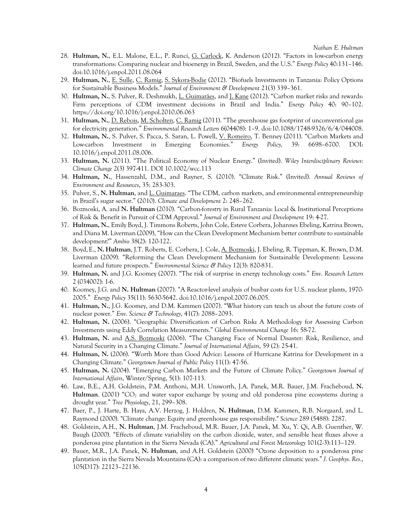- 28. **Hultman, N.**, E.L. Malone, E.L., P. Runci, G. Carlock, K. Anderson (2012). "Factors in low-carbon energy transformations: Comparing nuclear and bioenergy in Brazil, Sweden, and the U.S." *Energy Policy* 40:131–146. doi:10.1016/j.enpol.2011.08.064
- 29. **Hultman, N.**, E. Sulle, C. Ramig, S. Sykora-Bodie (2012). "Biofuels Investments in Tanzania: Policy Options for Sustainable Business Models." *Journal of Environment & Development* 21(3) 339–361.
- 30. **Hultman, N.**, S. Pulver, R. Deshmukh, L. Guimarães, and J. Kane (2012). "Carbon market risks and rewards: Firm perceptions of CDM investment decisions in Brazil and India." *Energy Policy* 40: 90–102. https://doi.org/10.1016/j.enpol.2010.06.063
- 31. **Hultman, N.**, D. Rebois, M. Scholten, C. Ramig (2011). "The greenhouse gas footprint of unconventional gas for electricity generation." *Environmental Research Letters* 6(04408): 1–9. doi:10.1088/1748-9326/6/4/044008.
- 32. **Hultman, N.**, S. Pulver, S. Pacca, S. Saran, L. Powell, V. Romeiro, T. Benney (2011). "Carbon Markets and Low-carbon Investment in Emerging Economies." *Energy Policy,* 39: 6698–6700. DOI: 10.1016/j.enpol.2011.08.006.
- 33. **Hultman, N.** (2011). "The Political Economy of Nuclear Energy." (Invited). *Wiley Interdisciplinary Reviews: Climate Change* 2(3) 397-411. DOI 10.1002/wcc.113
- 34. **Hultman, N.**, Hassenzahl, D.M., and Rayner, S. (2010). "Climate Risk." (Invited). *Annual Reviews of Environment and Resources*, 35: 283-303.
- 35. Pulver, S., **N. Hultman**, and L. Guimaraes. "The CDM, carbon markets, and environmental entrepreneurship in Brazil's sugar sector." (2010). *Climate and Development* 2: 248–262*.*
- 36. Bozmoski, A. and **N. Hultman** (2010). "Carbon-forestry in Rural Tanzania: Local & Institutional Perceptions of Risk & Benefit in Pursuit of CDM Approval." *Journal of Environment and Development* 19: 4-27.
- 37. **Hultman, N.**, Emily Boyd, J. Timmons Roberts, John Cole, Esteve Corbera, Johannes Ebeling, Katrina Brown, and Diana M. Liverman (2009), "How can the Clean Development Mechanism better contribute to sustainable development?" *Ambio* 38(2): 120-122.
- 38. Boyd,E., **N. Hultman**, J.T. Roberts, E. Corbera, J. Cole, A. Bozmoski, J. Ebeling, R. Tippman, K. Brown, D.M. Liverman (2009). "Reforming the Clean Development Mechanism for Sustainable Development: Lessons learned and future prospects." *Environmental Science & Policy* 12(3): 820-831.
- 39. **Hultman, N.** and J.G. Koomey (2007). "The risk of surprise in energy technology costs." *Env. Research Letters* 2 (034002): 1-6.
- 40. Koomey, J.G. and **N. Hultman** (2007). "A Reactor-level analysis of busbar costs for U.S. nuclear plants, 1970- 2005." *Energy Policy* 35(11): 5630-5642. doi:10.1016/j.enpol.2007.06.005.
- 41. **Hultman, N.**, J.G. Koomey, and D.M. Kammen (2007). "What history can teach us about the future costs of nuclear power." *Env. Science & Technology*, 41(7): 2088–2093.
- 42. **Hultman, N.** (2006). "Geographic Diversification of Carbon Risk**:** A Methodology for Assessing Carbon Investments using Eddy Correlation Measurements." *Global Environmental Change* 16: 58-72.
- 43. **Hultman, N.** and A.S. Bozmoski (2006). "The Changing Face of Normal Disaster: Risk, Resilience, and Natural Security in a Changing Climate." *Journal of International Affairs*, 59 (2): 25-41.
- 44. **Hultman, N.** (2006). "Worth More than Good Advice: Lessons of Hurricane Katrina for Development in a Changing Climate." *Georgetown Journal of Public Policy* 11(1): 47-56.
- 45. **Hultman, N.** (2004). "Emerging Carbon Markets and the Future of Climate Policy." *Georgetown Journal of International Affairs*, Winter/Spring, 5(1): 107-113.
- 46. Law, B.E., A.H. Goldstein, P.M. Anthoni, M.H. Unsworth, J.A. Panek, M.R. Bauer, J.M. Fracheboud, **N.**  Hultman. (2001) "CO<sub>2</sub> and water vapor exchange by young and old ponderosa pine ecosystems during a drought year." *Tree Physiology*, 21, 299–308.
- 47. Baer, P., J. Harte, B. Haya, A.V. Herzog, J. Holdren, **N. Hultman**, D.M. Kammen, R.B. Norgaard, and L. Raymond (2000). "Climate change: Equity and greenhouse gas responsibility." *Science* 289 (5488): 2287.
- 48. Goldstein, A.H., **N. Hultman**, J.M. Fracheboud, M.R. Bauer, J.A. Panek, M. Xu, Y. Qi, A.B. Guenther, W. Baugh (2000). "Effects of climate variability on the carbon dioxide, water, and sensible heat fluxes above a ponderosa pine plantation in the Sierra Nevada (CA)." *Agricultural and Forest Meteorology* 101(2-3):113–129.
- 49. Bauer, M.R., J.A. Panek, **N. Hultman**, and A.H. Goldstein (2000) "Ozone deposition to a ponderosa pine plantation in the Sierra Nevada Mountains (CA): a comparison of two different climatic years." *J. Geophys. Res*., 105(D17): 22123–22136.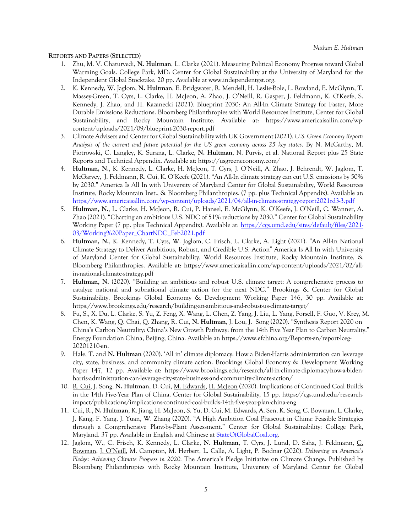#### **REPORTS AND PAPERS (SELECTED)**

- 1. Zhu, M. V. Chaturvedi, **N. Hultman**, L. Clarke (2021). Measuring Political Economy Progress toward Global Warming Goals. College Park, MD: Center for Global Sustainability at the University of Maryland for the Independent Global Stocktake. 20 pp. Available at www.independentgst.org.
- 2. K. Kennedy, W. Jaglom, **N. Hultman**, E. Bridgwater, R. Mendell, H. Leslie-Bole, L. Rowland, E. McGlynn, T. Massey-Green, T. Cyrs, L. Clarke, H. McJeon, A. Zhao, J. O'Neill, R. Gasper, J. Feldmann, K. O'Keefe, S. Kennedy, J. Zhao, and H. Kazanecki (2021). Blueprint 2030: An All-In Climate Strategy for Faster, More Durable Emissions Reductions. Bloomberg Philanthropies with World Resources Institute, Center for Global Sustainability, and Rocky Mountain Institute. Available at: https://www.americaisallin.com/wpcontent/uploads/2021/09/blueprint-2030-report.pdf
- 3. Climate Advisers and Center for Global Sustainability with UK Government (2021). *U.S. Green Economy Report: Analysis of the current and future potential for the US green economy across 25 key states*. By N. McCarthy, M. Piotrowski, C. Langley, K. Surana, L. Clarke, **N. Hultman**, N. Purvis, et al. National Report plus 25 State Reports and Technical Appendix. Available at: https://usgreeneconomy.com/
- 4. **Hultman, N.**, K. Kennedy, L. Clarke, H. McJeon, T. Cyrs, J. O'Neill, A. Zhao, J. Behrendt, W. Jaglom, T. McGarvey, J. Feldmann, R. Cui, K. O'Keefe (2021). "An All-In climate strategy can cut U.S. emissions by 50% by 2030." America Is All In with University of Maryland Center for Global Sustainability, World Resources Institute, Rocky Mountain Inst., & Bloomberg Philanthropies. (7 pp. plus Technical Appendix). Available at: https://www.americaisallin.com/wp-content/uploads/2021/04/all-in-climate-strategy-report2021rd3-3.pdf
- 5. **Hultman, N.**, L. Clarke, H. McJeon, R. Cui, P. Hansel, E. McGlynn, K. O'Keefe, J. O'Neill, C. Wanner, A. Zhao (2021). "Charting an ambitious U.S. NDC of 51% reductions by 2030." Center for Global Sustainability Working Paper (7 pp. plus Technical Appendix). Available at: https://cgs.umd.edu/sites/default/files/2021- 03/Working%20Paper\_ChartNDC\_Feb2021.pdf
- 6. **Hultman, N.**, K. Kennedy, T. Cyrs, W. Jaglom, C. Frisch, L. Clarke, A. Light (2021). "An All-In National Climate Strategy to Deliver Ambitious, Robust, and Credible U.S. Action" America Is All In with University of Maryland Center for Global Sustainability, World Resources Institute, Rocky Mountain Institute, & Bloomberg Philanthropies. Available at: https://www.americaisallin.com/wp-content/uploads/2021/02/allin-national-climate-strategy.pdf
- 7. **Hultman, N.** (2020). "Building an ambitious and robust U.S. climate target: A comprehensive process to catalyze national and subnational climate action for the next NDC." Brookings & Center for Global Sustainability. Brookings Global Economy & Development Working Paper 146, 30 pp. Available at: https://www.brookings.edu/research/building-an-ambitious-and-robust-us-climate-target/
- 8. Fu, S., X. Du, L. Clarke, S. Yu, Z. Feng, X. Wang, L. Chen, Z. Yang, J. Liu, L. Yang, Forsell, F. Guo, V. Krey, M. Chen, K. Wang, Q. Chai, Q. Zhang, R. Cui, **N. Hultman**, J. Lou, J. Song (2020). "Synthesis Report 2020 on China's Carbon Neutrality: China's New Growth Pathway: from the 14th Five Year Plan to Carbon Neutrality." Energy Foundation China, Beijing, China. Available at: https://www.efchina.org/Reports-en/report-lceg-20201210-en.
- 9. Hale, T. and **N. Hultman** (2020). 'All in' climate diplomacy: How a Biden-Harris administration can leverage city, state, business, and community climate action. Brookings Global Economy & Development Working Paper 147, 12 pp. Available at: https://www.brookings.edu/research/all-in-climate-diplomacy-how-a-bidenharris-administration-can-leverage-city-state-business-and-community-climate-action/
- 10. R. Cui, J. Song, **N. Hultman**, D. Cui, M. Edwards, H. McJeon (2020). Implications of Continued Coal Builds in the 14th Five-Year Plan of China. Center for Global Sustainability, 15 pp. https://cgs.umd.edu/researchimpact/publications/implications-continued-coal-builds-14th-five-year-plan-china-eng
- 11. Cui, R., **N. Hultman**, K. Jiang, H. McJeon, S. Yu, D. Cui, M. Edwards, A. Sen, K. Song, C. Bowman, L. Clarke, J. Kang, F. Yang, J. Yuan, W. Zhang (2020). "A High Ambition Coal Phaseout in China: Feasible Strategies through a Comprehensive Plant-by-Plant Assessment." Center for Global Sustainability: College Park, Maryland. 37 pp. Available in English and Chinese at StateOfGlobalCoal.org.
- 12. Jaglom, W., C. Frisch, K. Kennedy, L. Clarke, **N. Hultman**, T. Cyrs, J. Lund, D. Saha, J. Feldmann, C. Bowman, J. O'Neill, M. Campton, M. Herbert, L. Calle, A. Light, P. Bodnar (2020). *Delivering on America's Pledge: Achieving Climate Progress in 2020.* The America's Pledge Initiative on Climate Change. Published by Bloomberg Philanthropies with Rocky Mountain Institute, University of Maryland Center for Global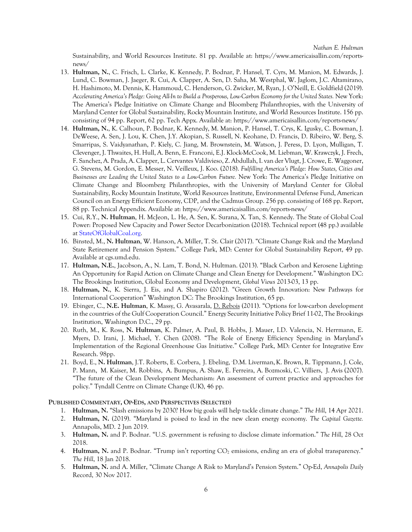Sustainability, and World Resources Institute. 81 pp. Available at: https://www.americaisallin.com/reportsnews/

- 13. **Hultman, N.**, C. Frisch, L. Clarke, K. Kennedy, P. Bodnar, P. Hansel, T. Cyrs, M. Manion, M. Edwards, J. Lund, C. Bowman, J. Jaeger, R. Cui, A. Clapper, A. Sen, D. Saha, M. Westphal, W. Jaglom, J.C. Altamirano, H. Hashimoto, M. Dennis, K. Hammoud, C. Henderson, G. Zwicker, M, Ryan, J. O'Neill, E. Goldfield (2019). *Accelerating America's Pledge: Going All-In to Build a Prosperous, Low-Carbon Economy for the United States.* New York: The America's Pledge Initiative on Climate Change and Bloomberg Philanthropies, with the University of Maryland Center for Global Sustainability, Rocky Mountain Institute, and World Resources Institute. 156 pp. consisting of 94 pp. Report, 62 pp. Tech Appx. Available at: https://www.americaisallin.com/reports-news/
- 14. **Hultman, N.**, K. Calhoun, P. Bodnar, K. Kennedy, M. Manion, P. Hansel, T. Crys, K. Igusky, C. Bowman, J. DeWeese, A. Sen, J. Lou, K. Chen, J.Y. Akopian, S. Russell, N. Keohane, D. Francis, D. Ribeiro, W. Berg, S. Smarripas, S. Vaidyanathan, P. Kiely, C. Jiang, M. Brownstein, M. Watson, J. Peress, D. Lyon, Mulligan, T. Clevenger, J. Thwaites, H. Hull, A. Benn, E. Franconi, E.J. Klock-McCook, M. Liebman, W. Krawczyk, J. Frech, F. Sanchez, A. Prada, A. Clapper, L. Cervantes Valdivieso, Z. Abdullah, I. van der Vlugt, J. Crowe, E. Waggoner, G. Stevens, M. Gordon, E. Messer, N. Veilleux, J. Koo. (2018). *Fulfilling America's Pledge: How States, Cities and Businesses are Leading the United States to a Low-Carbon Future.* New York: The America's Pledge Initiative on Climate Change and Bloomberg Philanthropies, with the University of Maryland Center for Global Sustainability, Rocky Mountain Institute, World Resources Institute, Environmental Defense Fund, American Council on an Energy Efficient Economy, CDP, and the Cadmus Group. 256 pp. consisting of 168 pp. Report, 88 pp. Technical Appendix. Available at: https://www.americaisallin.com/reports-news/
- 15. Cui, R.Y., **N. Hultman**, H. McJeon, L. He, A. Sen, K. Surana, X. Tan, S. Kennedy. The State of Global Coal Power: Proposed New Capacity and Power Sector Decarbonization (2018). Technical report (48 pp.) available at StateOfGlobalCoal.org.
- 16. Binsted, M., **N. Hultman**, W. Hanson, A. Miller, T. St. Clair (2017). "Climate Change Risk and the Maryland State Retirement and Pension System." College Park, MD: Center for Global Sustainability Report, 49 pp. Available at cgs.umd.edu.
- 17. **Hultman, N.E.**, Jacobson, A., N. Lam, T. Bond, N. Hultman. (2013). "Black Carbon and Kerosene Lighting: An Opportunity for Rapid Action on Climate Change and Clean Energy for Development." Washington DC: The Brookings Institution, Global Economy and Development, *Global Views* 2013-03, 13 pp.
- 18. **Hultman, N.**, K. Sierra, J. Eis, and A. Shapiro (2012). "Green Growth Innovation: New Pathways for International Cooperation" Washington DC: The Brookings Institution, 65 pp.
- 19. Ebinger, C., **N.E. Hultman**, K. Massy, G. Avasarala, D. Rebois (2011). "Options for low-carbon development in the countries of the Gulf Cooperation Council." Energy Security Initiative Policy Brief 11-02, The Brookings Institution, Washington D.C., 29 pp.
- 20. Ruth, M., K. Ross, **N. Hultman**, K. Palmer, A. Paul, B. Hobbs, J. Mauer, I.D. Valencia, N. Herrmann, E. Myers, D. Irani, J. Michael, Y. Chen (2008). "The Role of Energy Efficiency Spending in Maryland's Implementation of the Regional Greenhouse Gas Initiative." College Park, MD: Center for Integrative Env Research. 98pp.
- 21. Boyd, E., N. Hultman, J.T. Roberts, E. Corbera, J. Ebeling, <sup>,</sup>D.M. Liverman, K. Brown, R. Tippmann, J. Cole, P. Mann, M. Kaiser, M. Robbins, A. Bumpus, A. Shaw, E. Ferreira, A. Bozmoski, C. Villiers, J. Avis (2007). "The future of the Clean Development Mechanism: An assessment of current practice and approaches for policy." Tyndall Centre on Climate Change (UK), 46 pp.

#### **PUBLISHED COMMENTARY, OP-EDS, AND PERSPECTIVES (SELECTED)**

- 1. **Hultman, N.** "Slash emissions by 2030? How big goals will help tackle climate change." *The Hill*, 14 Apr 2021.
- 2. **Hultman, N.** (2019). "Maryland is poised to lead in the new clean energy economy. *The Capital Gazette.* Annapolis, MD. 2 Jun 2019.
- 3. **Hultman, N.** and P. Bodnar. "U.S. government is refusing to disclose climate information." *The Hill*, 28 Oct 2018.
- 4. **Hultman, N.** and P. Bodnar. "Trump isn't reporting CO<sub>2</sub> emissions, ending an era of global transparency." *The Hill*, 18 Jan 2018.
- 5. **Hultman, N.** and A. Miller, "Climate Change A Risk to Maryland's Pension System." Op-Ed, *Annapolis Daily*  Record, 30 Nov 2017.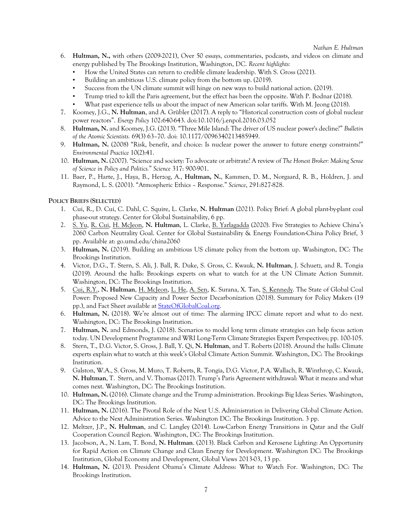- 6. **Hultman, N.,** with others (2009-2021), Over 50 essays, commentaries, podcasts, and videos on climate and energy published by The Brookings Institution, Washington, DC. *Recent highlights:* 
	- How the United States can return to credible climate leadership. With S. Gross (2021).
	- Building an ambitious U.S. climate policy from the bottom up. (2019).
	- Success from the UN climate summit will hinge on new ways to build national action. (2019).
	- Trump tried to kill the Paris agreement, but the effect has been the opposite. With P. Bodnar (2018).
	- What past experience tells us about the impact of new American solar tariffs. With M. Jeong (2018).
- 7. Koomey, J.G., **N. Hultman**, and A. Grübler (2017). A reply to "Historical construction costs of global nuclear power reactors". *Energy Policy* 102:640-643. doi:10.1016/j.enpol.2016.03.052
- 8. **Hultman, N.** and Koomey, J.G. (2013). "Three Mile Island: The driver of US nuclear power's decline?" *Bulletin of the Atomic Scientists.* 69(3) 63–70. doi: 10.1177/0096340213485949.
- 9. **Hultman, N.** (2008) "Risk, benefit, and choice: Is nuclear power the answer to future energy constraints?" *Environmental Practice* 10(2):41.
- 10. **Hultman, N.** (2007). "Science and society: To advocate or arbitrate? A review of *The Honest Broker: Making Sense of Science in Policy and Politics.*" *Science* 317: 900-901.
- 11. Baer, P., Harte, J., Haya, B., Herzog, A., **Hultman, N.**, Kammen, D. M., Norgaard, R. B., Holdren, J. and Raymond, L. S. (2001). "Atmospheric Ethics – Response." *Science*, 291:827-828.

## **POLICY BRIEFS (SELECTED)**

- 1. Cui, R., D. Cui, C. Dahl, C. Squire, L. Clarke, **N. Hultman** (2021). Policy Brief: A global plant-by-plant coal phase-out strategy. Center for Global Sustainability, 6 pp.
- 2. S. Yu, R. Cui, H. McJeon, **N. Hultman**, L. Clarke, B. Yarlagadda (2020). Five Strategies to Achieve China's 2060 Carbon Neutrality Goal. Center for Global Sustainability & Energy Foundation-China Policy Brief, 3 pp. Available at: go.umd.edu/china2060
- 3. **Hultman, N.** (2019). Building an ambitious US climate policy from the bottom up. Washington, DC: The Brookings Institution.
- 4. Victor, D.G., T. Stern, S. Ali, J. Ball, R. Duke, S. Gross, C. Kwauk, **N. Hultman**, J. Schuetz, and R. Tongia (2019). Around the halls: Brookings experts on what to watch for at the UN Climate Action Summit. Washington, DC: The Brookings Institution.
- 5. Cui, R.Y., **N. Hultman**, H. McJeon, L. He, A. Sen, K. Surana, X. Tan, S. Kennedy. The State of Global Coal Power: Proposed New Capacity and Power Sector Decarbonization (2018). Summary for Policy Makers (19 pp.), and Fact Sheet available at **StateOfGlobalCoal.org**.
- 6. **Hultman, N.** (2018). We're almost out of time: The alarming IPCC climate report and what to do next. Washington, DC: The Brookings Institution.
- 7. **Hultman, N.** and Edmonds, J. (2018). Scenarios to model long term climate strategies can help focus action today. UN Development Programme and WRI Long-Term Climate Strategies Expert Perspectives; pp. 100-105.
- 8. Stern, T., D.G. Victor, S. Gross, J. Ball, Y. Qi, **N. Hultman**, and T. Roberts (2018). Around the halls: Climate experts explain what to watch at this week's Global Climate Action Summit. Washington, DC: The Brookings Institution.
- 9. Galston, W.A., S. Gross, M. Muro, T. Roberts, R. Tongia, D.G. Victor, P.A. Wallach, R. Winthrop, C. Kwauk, **N. Hultman**, T. Stern, and V. Thomas (2017). Trump's Paris Agreement withdrawal: What it means and what comes next. Washington, DC: The Brookings Institution.
- 10. **Hultman, N.** (2016). Climate change and the Trump administration. Brookings Big Ideas Series. Washington, DC: The Brookings Institution.
- 11. **Hultman, N.** (2016). The Pivotal Role of the Next U.S. Administration in Delivering Global Climate Action. Advice to the Next Administration Series. Washington DC: The Brookings Institution. 3 pp.
- 12. Meltzer, J.P., **N. Hultman**, and C. Langley (2014). Low-Carbon Energy Transitions in Qatar and the Gulf Cooperation Council Region. Washington, DC: The Brookings Institution.
- 13. Jacobson, A., N. Lam, T. Bond, **N. Hultman**. (2013). Black Carbon and Kerosene Lighting: An Opportunity for Rapid Action on Climate Change and Clean Energy for Development. Washington DC: The Brookings Institution, Global Economy and Development, Global Views 2013-03, 13 pp.
- 14. **Hultman, N.** (2013). President Obama's Climate Address: What to Watch For. Washington, DC: The Brookings Institution.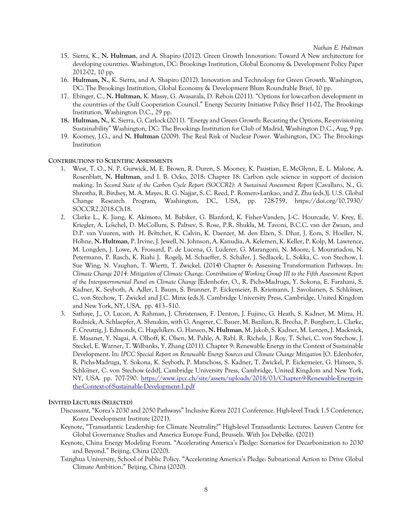- 15. Sierra, K., **N. Hultman**, and A. Shapiro (2012). Green Growth Innovation: Toward A New architecture for developing countries. Washington, DC: Brookings Institution, Global Economy & Development Policy Paper 2012-02, 10 pp.
- 16. **Hultman, N.**, K. Sierra, and A. Shapiro (2012). Innovation and Technology for Green Growth. Washington, DC: The Brookings Institution, Global Economy & Development Blum Roundtable Brief, 10 pp.
- 17. Ebinger, C., **N. Hultman**, K. Massy, G. Avasarala, D. Rebois (2011). "Options for low-carbon development in the countries of the Gulf Cooperation Council." Energy Security Initiative Policy Brief 11-02, The Brookings Institution, Washington D.C., 29 pp.
- **18. Hultman, N.**, K. Sierra, G. Carlock (2011). "Energy and Green Growth: Recasting the Options, Re-envisioning Sustainability" Washington, DC: The Brookings Institution for Club of Madrid, Washington D.C., Aug, 9 pp.
- 19. Koomey, J.G., and **N. Hultman** (2009). The Real Risk of Nuclear Power. Washington, DC: The Brookings Institution

#### **CONTRIBUTIONS TO SCIENTIFIC ASSESSMENTS**

- 1. West, T. O., N. P. Gurwick, M. E. Brown, R. Duren, S. Mooney, K. Paustian, E. McGlynn, E. L. Malone, A. Rosenblatt, **N. Hultman**, and I. B. Ocko, 2018: Chapter 18: Carbon cycle science in support of decision making. In *Second State of the Carbon Cycle Report (SOCCR2): A Sustained Assessment Report* [Cavallaro, N., G. Shrestha, R. Birdsey, M. A. Mayes, R. G. Najjar, S. C. Reed, P. Romero-Lankao, and Z. Zhu (eds.)]. U.S. Global Change Research Program, Washington, DC, USA, pp. 728-759, https://doi.org/10.7930/ SOCCR2.2018.Ch18.
- 2. Clarke L., K. Jiang, K. Akimoto, M. Babiker, G. Blanford, K. Fisher-Vanden, J.-C. Hourcade, V. Krey, E. Kriegler, A. Löschel, D. McCollum, S. Paltsev, S. Rose, P.R. Shukla, M. Tavoni, B.C.C. van der Zwaan, and D.P. van Vuuren, with H. Böttcher, K. Calvin, K. Daenzer, M. den Elzen, S. Dhar, J. Eom, S. Hoeller, N. Höhne, **N. Hultman**, P. Irvine, J. Jewell, N. Johnson, A. Kanudia, A. Kelemen, K. Keller, P. Kolp, M. Lawrence, M. Longden, J. Lowe, A. Frossard, P. de Lucena, G. Luderer, G. Marangoni, N. Moore, I. Mouratiadou, N. Petermann, P. Rasch, K. Riahi J. Rogelj, M. Schaeffer, S. Schäfer, J. Sedlacek, L. Sokka, C. von Stechow, I. Sue Wing, N. Vaughan, T. Wiertz, T. Zwickel. (2014) Chapter 6: Assessing Transformation Pathways. In: *Climate Change 2014: Mitigation of Climate Change. Contribution of Working Group III to the Fifth Assessment Report of the Intergovernmental Panel on Climate Change* [Edenhofer, O., R. Pichs-Madruga, Y. Sokona, E. Farahani, S. Kadner, K. Seyboth, A. Adler, I. Baum, S. Brunner, P. Eickemeier, B. Kriemann, J. Savolainen, S. Schlömer, C. von Stechow, T. Zwickel and J.C. Minx (eds.)]. Cambridge University Press, Cambridge, United Kingdom and New York, NY, USA. pp. 413–510.
- 3. Sathaye, J., O. Lucon, A. Rahman, J. Christensen, F. Denton, J. Fujino, G. Heath, S. Kadner, M. Mirza, H. Rudnick, A. Schlaepfer, A. Shmakin, with G. Angerer, C. Bauer, M. Bazilian, R. Brecha, P. Burgherr, L. Clarke, F. Creutzig, J. Edmonds, C. Hagelüken. G. Hansen, **N. Hultman**, M. Jakob, S. Kadner, M. Lenzen, J. Macknick, E. Masanet, Y. Nagai, A. Olhoff, K. Olsen, M. Pahle, A. Rabl. R. Richels, J. Roy, T. Schei, C. von Stechow, J. Steckel, E. Warner, T. Wilbanks, Y. Zhang (2011). Chapter 9: Renewable Energy in the Context of Sustainable Development. In: *IPCC Special Report on Renewable Energy Sources and Climate Change Mitigation* [O. Edenhofer, R. Pichs-Madruga, Y. Sokona, K. Seyboth, P. Matschoss, S. Kadner, T. Zwickel, P. Eickemeier, G. Hansen, S. Schlömer, C. von Stechow (eds)], Cambridge University Press, Cambridge, United Kingdom and New York, NY, USA. pp. 707-790. https://www.ipcc.ch/site/assets/uploads/2018/03/Chapter-9-Renewable-Energy-inthe-Context-of-Sustainable-Development-1.pdf

#### **INVITED LECTURES (SELECTED)**

- Discussant, "Korea's 2030 and 2050 Pathways" Inclusive Korea 2021 Conference. High-level Track 1.5 Conference, Korea Development Institute (2021).
- Keynote, "Transatlantic Leadership for Climate Neutrality?" High-level Transatlantic Lectures. Leuven Centre for Global Governance Studies and America Europe Fund, Brussels. With Jos Debelke. (2021)
- Keynote, China Energy Modeling Forum. "Accelerating America's Pledge: Scenarios for Decarbonization to 2030 and Beyond." Beijing, China (2020).
- Tsinghua University, School of Public Policy. "Accelerating America's Pledge: Subnational Action to Drive Global Climate Ambition." Beijing, China (2020).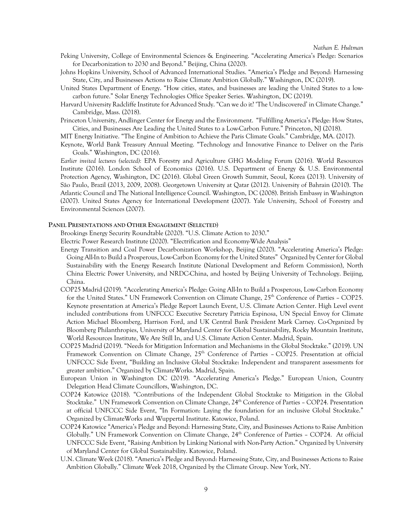- Peking University, College of Environmental Sciences & Engineering. "Accelerating America's Pledge: Scenarios for Decarbonization to 2030 and Beyond." Beijing, China (2020).
- Johns Hopkins University, School of Advanced International Studies. "America's Pledge and Beyond: Harnessing State, City, and Businesses Actions to Raise Climate Ambition Globally." Washington, DC (2019).
- United States Department of Energy. "How cities, states, and businesses are leading the United States to a lowcarbon future." Solar Energy Technologies Office Speaker Series. Washington, DC (2019).
- Harvard University Radcliffe Institute for Advanced Study. "Can we do it? 'The Undiscovered' in Climate Change." Cambridge, Mass. (2018).
- Princeton University, Andlinger Center for Energy and the Environment. "Fulfilling America's Pledge: How States, Cities, and Businesses Are Leading the United States to a Low-Carbon Future." Princeton, NJ (2018).
- MIT Energy Initiative. "The Engine of Ambition to Achieve the Paris Climate Goals." Cambridge, MA. (2017).
- Keynote, World Bank Treasury Annual Meeting. "Technology and Innovative Finance to Deliver on the Paris Goals." Washington, DC (2016).

*Earlier invited lectures (selected):* EPA Forestry and Agriculture GHG Modeling Forum (2016). World Resources Institute (2016). London School of Economics (2016). U.S. Department of Energy & U.S. Environmental Protection Agency, Washington, DC (2016). Global Green Growth Summit, Seoul, Korea (2013). University of São Paulo, Brazil (2013, 2009, 2008). Georgetown University at Qatar (2012). University of Bahrain (2010). The Atlantic Council and The National Intelligence Council. Washington, DC (2008). British Embassy in Washington (2007). United States Agency for International Development (2007). Yale University, School of Forestry and Environmental Sciences (2007).

#### **PANEL PRESENTATIONS AND OTHER ENGAGEMENT (SELECTED)**

Brookings Energy Security Roundtable (2020). "U.S. Climate Action to 2030."

Electric Power Research Institute (2020). "Electrification and Economy-Wide Analysis"

- Energy Transition and Coal Power Decarbonization Workshop, Beijing (2020). "Accelerating America's Pledge: Going All-In to Build a Prosperous, Low-Carbon Economy for the United States" Organized by Center for Global Sustainability with the Energy Research Institute (National Development and Reform Commission), North China Electric Power University, and NRDC-China, and hosted by Beijing University of Technology. Beijing, China.
- COP25 Madrid (2019). "Accelerating America's Pledge: Going All-In to Build a Prosperous, Low-Carbon Economy for the United States." UN Framework Convention on Climate Change, 25<sup>th</sup> Conference of Parties – COP25. Keynote presentation at America's Pledge Report Launch Event, U.S. Climate Action Center. High Level event included contributions from UNFCCC Executive Secretary Patricia Espinosa, UN Special Envoy for Climate Action Michael Bloomberg, Harrison Ford, and UK Central Bank President Mark Carney. Co-Organized by Bloomberg Philanthropies, University of Maryland Center for Global Sustainability, Rocky Mountain Institute, World Resources Institute, We Are Still In, and U.S. Climate Action Center. Madrid, Spain.
- COP25 Madrid (2019). "Needs for Mitigation Information and Mechanisms in the Global Stocktake." (2019). UN Framework Convention on Climate Change,  $25<sup>th</sup>$  Conference of Parties – COP25. Presentation at official UNFCCC Side Event, "Building an Inclusive Global Stocktake: Independent and transparent assessments for greater ambition." Organized by ClimateWorks. Madrid, Spain.
- European Union in Washington DC (2019). "Accelerating America's Pledge." European Union, Country Delegation Head Climate Councillors, Washington, DC.
- COP24 Katowice (2018). "Contributions of the Independent Global Stocktake to Mitigation in the Global Stocktake." UN Framework Convention on Climate Change, 24<sup>th</sup> Conference of Parties - COP24. Presentation at official UNFCCC Side Event, "In Formation: Laying the foundation for an inclusive Global Stocktake." Organized by ClimateWorks and Wuppertal Institute. Katowice, Poland.
- COP24 Katowice "America's Pledge and Beyond: Harnessing State, City, and Businesses Actions to Raise Ambition Globally." UN Framework Convention on Climate Change, 24<sup>th</sup> Conference of Parties - COP24. At official UNFCCC Side Event, "Raising Ambition by Linking National with Non-Party Action." Organized by University of Maryland Center for Global Sustainability. Katowice, Poland.
- U.N. Climate Week (2018). "America's Pledge and Beyond: Harnessing State, City, and Businesses Actions to Raise Ambition Globally." Climate Week 2018, Organized by the Climate Group. New York, NY.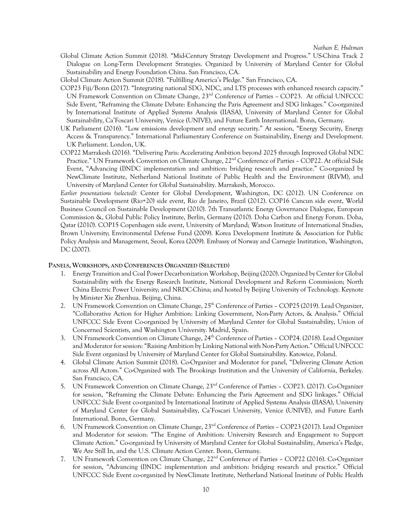- Global Climate Action Summit **(**2018). "Mid-Century Strategy Development and Progress." US-China Track 2 Dialogue on Long-Term Development Strategies. Organized by University of Maryland Center for Global Sustainability and Energy Foundation China. San Francisco, CA.
- Global Climate Action Summit **(**2018). "Fulfilling America's Pledge." San Francisco, CA.
- COP23 Fiji/Bonn (2017). "Integrating national SDG, NDC, and LTS processes with enhanced research capacity." UN Framework Convention on Climate Change,  $23<sup>nd</sup>$  Conference of Parties - COP23. At official UNFCCC Side Event, "Reframing the Climate Debate: Enhancing the Paris Agreement and SDG linkages." Co-organized by International Institute of Applied Systems Analysis (IIASA), University of Maryland Center for Global Sustainability, Ca'Foscari University, Venice (UNIVE), and Future Earth International. Bonn, Germany.
- UK Parliament (2016). "Low emissions development and energy security." At session, "Energy Security, Energy Access & Transparency." International Parliamentary Conference on Sustainability, Energy and Development. UK Parliament. London, UK.
- COP22 Marrakesh (2016). "Delivering Paris: Accelerating Ambition beyond 2025 through Improved Global NDC Practice." UN Framework Convention on Climate Change, 22<sup>nd</sup> Conference of Parties - COP22. At official Side Event, "Advancing (I)NDC implementation and ambition: bridging research and practice." Co-organized by NewClimate Institute, Netherland National Institute of Public Health and the Environment (RIVM), and University of Maryland Center for Global Sustainability. Marrakesh, Morocco.

*Earlier presentations (selected):* Center for Global Development, Washington, DC (2012). UN Conference on Sustainable Development (Rio+20) side event, Rio de Janeiro, Brazil (2012). COP16 Cancun side event, World Business Council on Sustainable Development (2010). 7th Transatlantic Energy Governance Dialogue, European Commission &, Global Public Policy Institute, Berlin, Germany (2010). Doha Carbon and Energy Forum. Doha, Qatar (2010). COP15 Copenhagen side event, University of Maryland; Watson Institute of International Studies, Brown University; Environmental Defense Fund (2009). Korea Development Institute & Association for Public Policy Analysis and Management, Seoul, Korea (2009). Embassy of Norway and Carnegie Institution, Washington, DC (2007).

#### **PANELS, WORKSHOPS, AND CONFERENCES ORGANIZED (SELECTED)**

- 1. Energy Transition and Coal Power Decarbonization Workshop, Beijing (2020). Organized by Center for Global Sustainability with the Energy Research Institute, National Development and Reform Commission; North China Electric Power University; and NRDC-China; and hosted by Beijing University of Technology. Keynote by Minister Xie Zhenhua. Beijing, China.
- 2. UN Framework Convention on Climate Change, 25<sup>th</sup> Conference of Parties COP25 (2019). Lead Organizer, "Collaborative Action for Higher Ambition: Linking Government, Non-Party Actors, & Analysis." Official UNFCCC Side Event Co-organized by University of Maryland Center for Global Sustainability, Union of Concerned Scientists, and Washington University. Madrid, Spain.
- 3. UN Framework Convention on Climate Change, 24<sup>th</sup> Conference of Parties COP24. (2018). Lead Organizer and Moderator for session: "Raising Ambition by Linking National with Non-Party Action." Official UNFCCC Side Event organized by University of Maryland Center for Global Sustainability. Katowice, Poland.
- 4. Global Climate Action Summit (2018). Co-Organizer and Moderator for panel, "Delivering Climate Action across All Actors." Co-Organized with The Brookings Institution and the University of California, Berkeley. San Francisco, CA.
- 5. UN Framework Convention on Climate Change, 23nd Conference of Parties COP23. (2017). Co-Organizer for session, "Reframing the Climate Debate: Enhancing the Paris Agreement and SDG linkages." Official UNFCCC Side Event co-organized by International Institute of Applied Systems Analysis (IIASA), University of Maryland Center for Global Sustainability, Ca'Foscari University, Venice (UNIVE), and Future Earth International. Bonn, Germany.
- 6. UN Framework Convention on Climate Change, 23nd Conference of Parties COP23 (2017). Lead Organizer and Moderator for session: "The Engine of Ambition: University Research and Engagement to Support Climate Action." Co-organized by University of Maryland Center for Global Sustainability, America's Pledge, We Are Still In, and the U.S. Climate Action Center. Bonn, Germany.
- 7. UN Framework Convention on Climate Change, 22<sup>nd</sup> Conference of Parties COP22 (2016). Co-Organizer for session, "Advancing (I)NDC implementation and ambition: bridging research and practice." Official UNFCCC Side Event co-organized by NewClimate Institute, Netherland National Institute of Public Health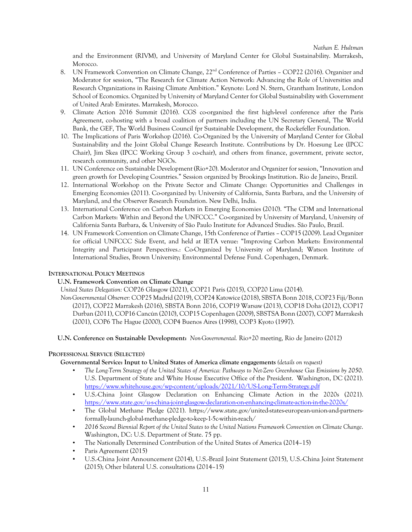and the Environment (RIVM), and University of Maryland Center for Global Sustainability. Marrakesh, Morocco.

- 8. UN Framework Convention on Climate Change, 22<sup>nd</sup> Conference of Parties COP22 (2016). Organizer and Moderator for session, "The Research for Climate Action Network: Advancing the Role of Universities and Research Organizations in Raising Climate Ambition." Keynote: Lord N. Stern, Grantham Institute, London School of Economics. Organized by University of Maryland Center for Global Sustainability with Government of United Arab Emirates. Marrakesh, Morocco.
- 9. Climate Action 2016 Summit (2016). CGS co-organized the first high-level conference after the Paris Agreement, co-hosting with a broad coalition of partners including the UN Secretary General, The World Bank, the GEF, The World Business Council fpr Sustainable Development, the Rockefeller Foundation.
- 10. The Implications of Paris Workshop (2016). Co-Organized by the University of Maryland Center for Global Sustainability and the Joint Global Change Research Institute. Contributions by Dr. Hoesung Lee (IPCC Chair), Jim Skea (IPCC Working Group 3 co-chair), and others from finance, government, private sector, research community, and other NGOs.
- 11. UN Conference on Sustainable Development (Rio+20). Moderator and Organizer for session, "Innovation and green growth for Developing Countries." Session organized by Brookings Institution. Rio de Janeiro, Brazil.
- 12. International Workshop on the Private Sector and Climate Change: Opportunities and Challenges in Emerging Economies (2011). Co-organized by: University of California, Santa Barbara, and the University of Maryland, and the Observer Research Foundation. New Delhi, India.
- 13. International Conference on Carbon Markets in Emerging Economies (2010). "The CDM and International Carbon Markets: Within and Beyond the UNFCCC." Co-organized by University of Maryland, University of California Santa Barbara, & University of São Paulo Institute for Advanced Studies. São Paulo, Brazil.
- 14. UN Framework Convention on Climate Change, 15th Conference of Parties COP15 (2009). Lead Organizer for official UNFCCC Side Event, and held at IETA venue: "Improving Carbon Markets: Environmental Integrity and Participant Perspectives.: Co-Organized by University of Maryland; Watson Institute of International Studies, Brown University; Environmental Defense Fund. Copenhagen, Denmark.

# **INTERNATIONAL POLICY MEETINGS**

## **U.N. Framework Convention on Climate Change**

*United States Delegation:* COP26 Glasgow (2021), COP21 Paris (2015), COP20 Lima (2014).

*Non-Governmental Observer:* COP25 Madrid (2019), COP24 Katowice (2018), SBSTA Bonn 2018, COP23 Fiji/Bonn (2017), COP22 Marrakesh (2016), SBSTA Bonn 2016, COP19 Warsaw (2013), COP18 Doha (2012), COP17 Durban (2011), COP16 Cancún (2010), COP15 Copenhagen (2009), SBSTSA Bonn (2007), COP7 Marrakesh (2001), COP6 The Hague (2000), COP4 Buenos Aires (1998), COP3 Kyoto (1997).

## **U.N. Conference on Sustainable Development:** *Non-Governmental.* Rio+20 meeting, Rio de Janeiro (2012)

## **PROFESSIONAL SERVICE (SELECTED)**

**Governmental Service: Input to United States of America climate engagements** *(details on request)*

- *The Long-Term Strategy of the United States of America: Pathways to Net-Zero Greenhouse Gas Emissions by 2050*. U.S. Department of State and White House Executive Office of the President. Washington, DC (2021). https://www.whitehouse.gov/wp-content/uploads/2021/10/US-Long-Term-Strategy.pdf
- U.S.-China Joint Glasgow Declaration on Enhancing Climate Action in the 2020s (2021). https://www.state.gov/u-s-china-joint-glasgow-declaration-on-enhancing-climate-action-in-the-2020s/
- The Global Methane Pledge (2021). https://www.state.gov/united-states-european-union-and-partnersformally-launch-global-methane-pledge-to-keep-1-5c-within-reach/
- *2016 Second Biennial Report of the United States to the United Nations Framework Convention on Climate Change*. Washington, DC: U.S. Department of State. 75 pp.
- The Nationally Determined Contribution of the United States of America (2014–15)
- Paris Agreement (2015)
- U.S.-China Joint Announcement (2014), U.S.-Brazil Joint Statement (2015), U.S.-China Joint Statement (2015); Other bilateral U.S. consultations (2014–15)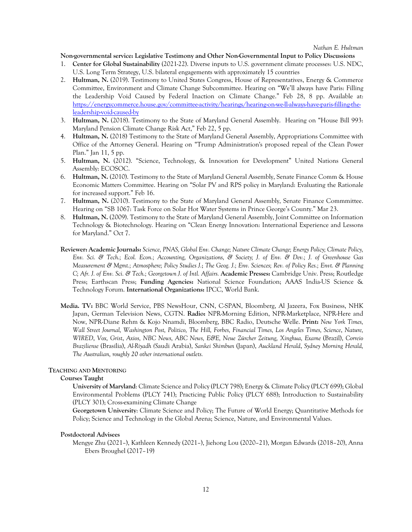#### **Non-governmental service: Legislative Testimony and Other Non-Governmental Input to Policy Discussions**

- 1. **Center for Global Sustainability** (2021-22). Diverse inputs to U.S. government climate processes: U.S. NDC, U.S. Long Term Strategy, U.S. bilateral engagements with approximately 15 countries
- 2. **Hultman, N.** (2019). Testimony to United States Congress, House of Representatives, Energy & Commerce Committee, Environment and Climate Change Subcommittee. Hearing on "We'll always have Paris: Filling the Leadership Void Caused by Federal Inaction on Climate Change." Feb 28, 8 pp. Available at: https://energycommerce.house.gov/committee-activity/hearings/hearing-on-we-ll-always-have-paris-filling-theleadership-void-caused-by
- 3. **Hultman, N.** (2018). Testimony to the State of Maryland General Assembly. Hearing on "House Bill 993: Maryland Pension Climate Change Risk Act," Feb 22, 5 pp.
- 4. **Hultman, N.** (2018) Testimony to the State of Maryland General Assembly, Appropriations Committee with Office of the Attorney General. Hearing on "Trump Administration's proposed repeal of the Clean Power Plan." Jan 11, 5 pp.
- 5. **Hultman, N.** (2012). "Science, Technology, & Innovation for Development" United Nations General Assembly: ECOSOC.
- 6. **Hultman, N.** (2010). Testimony to the State of Maryland General Assembly, Senate Finance Comm & House Economic Matters Committee. Hearing on "Solar PV and RPS policy in Maryland: Evaluating the Rationale for increased support." Feb 16.
- 7. **Hultman, N.** (2010). Testimony to the State of Maryland General Assembly, Senate Finance Commmittee. Hearing on "SB 1067: Task Force on Solar Hot Water Systems in Prince George's County." Mar 23.
- 8. **Hultman, N.** (2009). Testimony to the State of Maryland General Assembly, Joint Committee on Information Technology & Biotechnology. Hearing on "Clean Energy Innovation: International Experience and Lessons for Maryland." Oct 7.
- **Reviewer: Academic Journals:** *Science, PNAS, Global Env. Change; Nature Climate Change; Energy Policy; Climate Policy, Env. Sci. & Tech.; Ecol. Econ.; Accounting, Organizations, & Society; J. of Env. & Dev.; J. of Greenhouse Gas Measurement & Mgmt.; Atmosphere; Policy Studies J.*; *The Geog. J.; Env. Sciences; Rev. of Policy Res.; Envt. & Planning C; Afr. J. of Env. Sci. & Tech.; Georgetown J. of Intl. Affairs.* **Academic Presses:** Cambridge Univ. Press; Routledge Press; Earthscan Press; **Funding Agencies:** National Science Foundation; AAAS India-US Science & Technology Forum. **International Organizations:** IPCC, World Bank.
- **Media. TV:** BBC World Service, PBS NewsHour, CNN, C-SPAN, Bloomberg, Al Jazeera, Fox Business, NHK Japan, German Television News, CGTN. **Radio:** NPR-Morning Edition, NPR-Marketplace, NPR-Here and Now, NPR-Diane Rehm & Kojo Nnamdi, Bloomberg, BBC Radio, Deutsche Welle. **Print:** *New York Times, Wall Street Journal, Washington Post, Politico, The Hill, Forbes, Financial Times, Los Angeles Times, Science*, *Nature, WIRED*, *Vox, Grist*, *Axios, NBC News, ABC News, E&E, Neue Zürcher Zeitung, Xinghua, Exame* (Brazil), *Correio Braziliense* (Brasília), *Al-Riyadh (S*audi Arabia), *Sankei Shimbun* (Japan), *Auckland Herald*, *Sydney Morning Herald, The Australian, roughly 20 other international outlets.*

#### **TEACHING AND MENTORING**

#### **Courses Taught**

**University of Maryland**: Climate Science and Policy (PLCY 798); Energy & Climate Policy (PLCY 699); Global Environmental Problems (PLCY 741); Practicing Public Policy (PLCY 688); Introduction to Sustainability (PLCY 301); Cross-examining Climate Change

**Georgetown University**: Climate Science and Policy; The Future of World Energy; Quantitative Methods for Policy; Science and Technology in the Global Arena; Science, Nature, and Environmental Values.

#### **Postdoctoral Advisees**

Mengye Zhu (2021–), Kathleen Kennedy (2021–), Jiehong Lou (2020–21), Morgan Edwards (2018–20), Anna Ebers Broughel (2017–19)